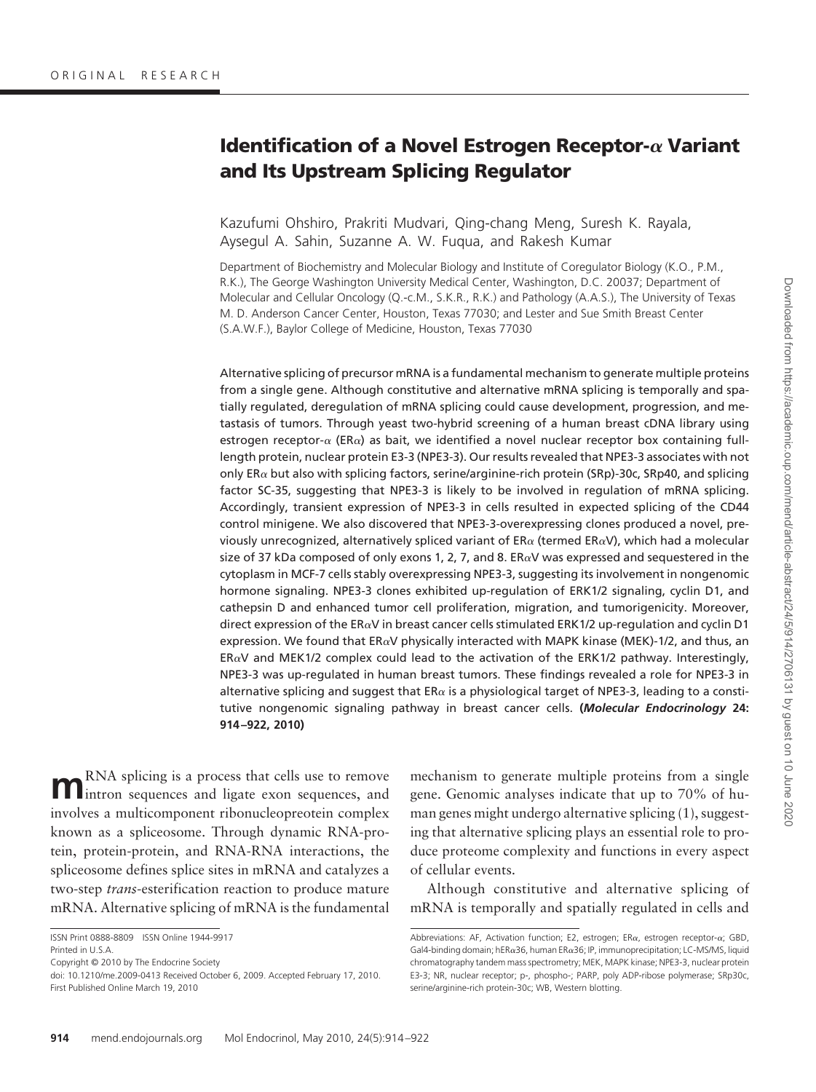# **Identification of a Novel Estrogen Receptor- Variant and Its Upstream Splicing Regulator**

Kazufumi Ohshiro, Prakriti Mudvari, Qing-chang Meng, Suresh K. Rayala, Aysegul A. Sahin, Suzanne A. W. Fuqua, and Rakesh Kumar

Department of Biochemistry and Molecular Biology and Institute of Coregulator Biology (K.O., P.M., R.K.), The George Washington University Medical Center, Washington, D.C. 20037; Department of Molecular and Cellular Oncology (Q.-c.M., S.K.R., R.K.) and Pathology (A.A.S.), The University of Texas M. D. Anderson Cancer Center, Houston, Texas 77030; and Lester and Sue Smith Breast Center (S.A.W.F.), Baylor College of Medicine, Houston, Texas 77030

Alternative splicing of precursor mRNA is a fundamental mechanism to generate multiple proteins from a single gene. Although constitutive and alternative mRNA splicing is temporally and spatially regulated, deregulation of mRNA splicing could cause development, progression, and metastasis of tumors. Through yeast two-hybrid screening of a human breast cDNA library using estrogen receptor- $\alpha$  (ER $\alpha$ ) as bait, we identified a novel nuclear receptor box containing fulllength protein, nuclear protein E3-3 (NPE3-3). Our results revealed that NPE3-3 associates with not only ER $\alpha$  but also with splicing factors, serine/arginine-rich protein (SRp)-30c, SRp40, and splicing factor SC-35, suggesting that NPE3-3 is likely to be involved in regulation of mRNA splicing. Accordingly, transient expression of NPE3-3 in cells resulted in expected splicing of the CD44 control minigene. We also discovered that NPE3-3-overexpressing clones produced a novel, previously unrecognized, alternatively spliced variant of  $ER\alpha$  (termed  $ER\alpha V$ ), which had a molecular size of 37 kDa composed of only exons 1, 2, 7, and 8. ER $\alpha$ V was expressed and sequestered in the cytoplasm in MCF-7 cells stably overexpressing NPE3-3, suggesting its involvement in nongenomic hormone signaling. NPE3-3 clones exhibited up-regulation of ERK1/2 signaling, cyclin D1, and cathepsin D and enhanced tumor cell proliferation, migration, and tumorigenicity. Moreover, direct expression of the ER $\alpha$ V in breast cancer cells stimulated ERK1/2 up-regulation and cyclin D1 expression. We found that  $ER\alpha V$  physically interacted with MAPK kinase (MEK)-1/2, and thus, an  $ER\alpha V$  and MEK1/2 complex could lead to the activation of the ERK1/2 pathway. Interestingly, NPE3-3 was up-regulated in human breast tumors. These findings revealed a role for NPE3-3 in alternative splicing and suggest that  $ER\alpha$  is a physiological target of NPE3-3, leading to a constitutive nongenomic signaling pathway in breast cancer cells. **(***Molecular Endocrinology* **24: 914 –922, 2010)**

**m**RNA splicing is a process that cells use to remove intron sequences and ligate exon sequences, and involves a multicomponent ribonucleopreotein complex known as a spliceosome. Through dynamic RNA-protein, protein-protein, and RNA-RNA interactions, the spliceosome defines splice sites in mRNA and catalyzes a two-step *trans*-esterification reaction to produce mature mRNA. Alternative splicing of mRNA is the fundamental

Copyright © 2010 by The Endocrine Society

mechanism to generate multiple proteins from a single gene. Genomic analyses indicate that up to 70% of human genes might undergo alternative splicing (1), suggesting that alternative splicing plays an essential role to produce proteome complexity and functions in every aspect of cellular events.

Although constitutive and alternative splicing of mRNA is temporally and spatially regulated in cells and

ISSN Print 0888-8809 ISSN Online 1944-9917

Printed in U.S.A.

doi: 10.1210/me.2009-0413 Received October 6, 2009. Accepted February 17, 2010. First Published Online March 19, 2010

Abbreviations: AF, Activation function; E2, estrogen; ER $\alpha$ , estrogen receptor- $\alpha$ ; GBD, Gal4-binding domain; hER $\alpha$ 36, human ER $\alpha$ 36; IP, immunoprecipitation; LC-MS/MS, liquid chromatography tandem mass spectrometry; MEK, MAPK kinase; NPE3-3, nuclear protein E3-3; NR, nuclear receptor; p-, phospho-; PARP, poly ADP-ribose polymerase; SRp30c, serine/arginine-rich protein-30c; WB, Western blotting.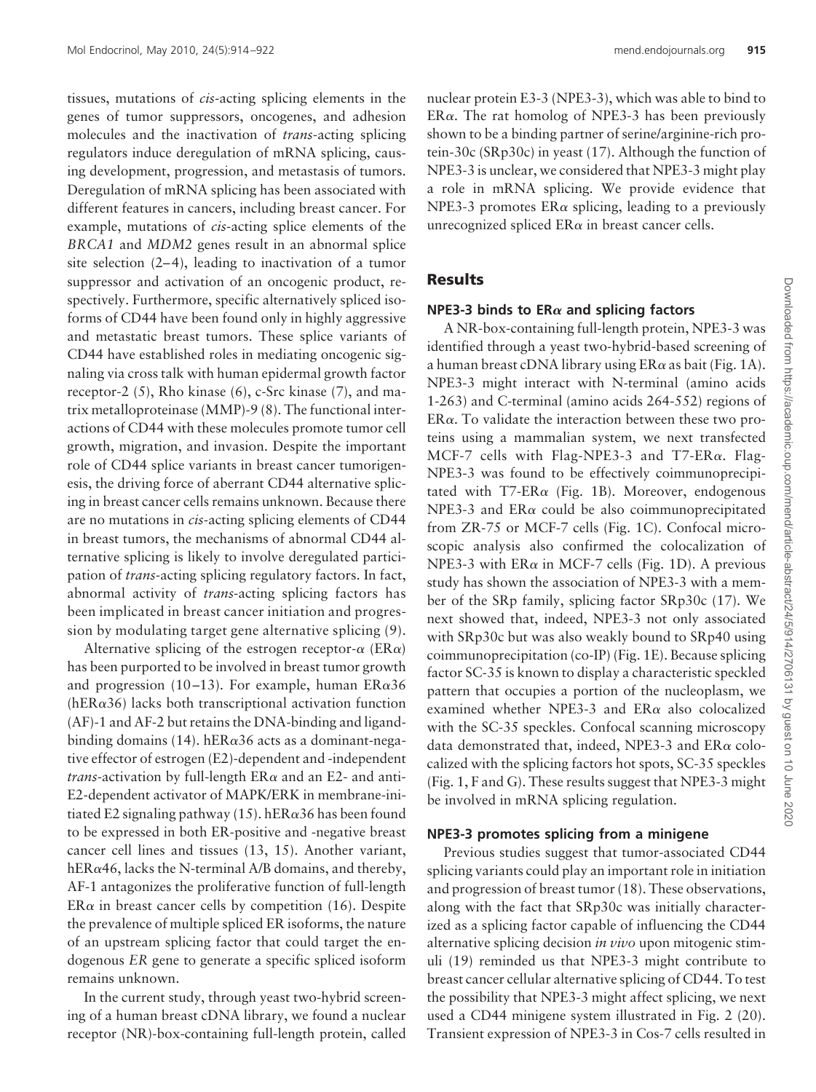tissues, mutations of *cis-*acting splicing elements in the genes of tumor suppressors, oncogenes, and adhesion molecules and the inactivation of *trans*-acting splicing regulators induce deregulation of mRNA splicing, causing development, progression, and metastasis of tumors. Deregulation of mRNA splicing has been associated with different features in cancers, including breast cancer. For example, mutations of *cis-*acting splice elements of the *BRCA1* and *MDM2* genes result in an abnormal splice site selection  $(2-4)$ , leading to inactivation of a tumor suppressor and activation of an oncogenic product, respectively. Furthermore, specific alternatively spliced isoforms of CD44 have been found only in highly aggressive and metastatic breast tumors. These splice variants of CD44 have established roles in mediating oncogenic signaling via cross talk with human epidermal growth factor receptor-2 (5), Rho kinase (6), c-Src kinase (7), and matrix metalloproteinase (MMP)-9 (8). The functional interactions of CD44 with these molecules promote tumor cell growth, migration, and invasion. Despite the important role of CD44 splice variants in breast cancer tumorigenesis, the driving force of aberrant CD44 alternative splicing in breast cancer cells remains unknown. Because there are no mutations in *cis-*acting splicing elements of CD44 in breast tumors, the mechanisms of abnormal CD44 alternative splicing is likely to involve deregulated participation of *trans*-acting splicing regulatory factors. In fact, abnormal activity of *trans*-acting splicing factors has been implicated in breast cancer initiation and progression by modulating target gene alternative splicing (9).

Alternative splicing of the estrogen receptor- $\alpha$  (ER $\alpha$ ) has been purported to be involved in breast tumor growth and progression (10-13). For example, human  $ER\alpha 36$  $(hER\alpha36)$  lacks both transcriptional activation function (AF)-1 and AF-2 but retains the DNA-binding and ligandbinding domains (14). hER $\alpha$ 36 acts as a dominant-negative effector of estrogen (E2)-dependent and -independent *trans*-activation by full-length  $ER\alpha$  and an E2- and anti-E2-dependent activator of MAPK/ERK in membrane-initiated E2 signaling pathway (15). hER $\alpha$ 36 has been found to be expressed in both ER-positive and -negative breast cancer cell lines and tissues (13, 15). Another variant, hER $\alpha$ 46, lacks the N-terminal A/B domains, and thereby, AF-1 antagonizes the proliferative function of full-length  $ER\alpha$  in breast cancer cells by competition (16). Despite the prevalence of multiple spliced ER isoforms, the nature of an upstream splicing factor that could target the endogenous *ER* gene to generate a specific spliced isoform remains unknown.

In the current study, through yeast two-hybrid screening of a human breast cDNA library, we found a nuclear receptor (NR)-box-containing full-length protein, called nuclear protein E3-3 (NPE3-3), which was able to bind to  $ER\alpha$ . The rat homolog of NPE3-3 has been previously shown to be a binding partner of serine/arginine-rich protein-30c (SRp30c) in yeast (17). Although the function of NPE3-3 is unclear, we considered that NPE3-3 might play a role in mRNA splicing. We provide evidence that NPE3-3 promotes  $ER\alpha$  splicing, leading to a previously unrecognized spliced  $ER\alpha$  in breast cancer cells.

### **Results**

#### **NPE3-3 binds to ER** $\alpha$  and splicing factors

A NR-box-containing full-length protein, NPE3-3 was identified through a yeast two-hybrid-based screening of a human breast cDNA library using  $ER\alpha$  as bait (Fig. 1A). NPE3-3 might interact with N-terminal (amino acids 1-263) and C-terminal (amino acids 264-552) regions of  $ER\alpha$ . To validate the interaction between these two proteins using a mammalian system, we next transfected MCF-7 cells with Flag-NPE3-3 and T7-ER $\alpha$ . Flag-NPE3-3 was found to be effectively coimmunoprecipitated with  $T7-\text{ER}\alpha$  (Fig. 1B). Moreover, endogenous NPE3-3 and  $ER\alpha$  could be also coimmunoprecipitated from ZR-75 or MCF-7 cells (Fig. 1C). Confocal microscopic analysis also confirmed the colocalization of NPE3-3 with  $ER\alpha$  in MCF-7 cells (Fig. 1D). A previous study has shown the association of NPE3-3 with a member of the SRp family, splicing factor SRp30c (17). We next showed that, indeed, NPE3-3 not only associated with SRp30c but was also weakly bound to SRp40 using coimmunoprecipitation (co-IP) (Fig. 1E). Because splicing factor SC-35 is known to display a characteristic speckled pattern that occupies a portion of the nucleoplasm, we examined whether NPE3-3 and  $ER\alpha$  also colocalized with the SC-35 speckles. Confocal scanning microscopy data demonstrated that, indeed, NPE3-3 and  $ER\alpha$  colocalized with the splicing factors hot spots, SC-35 speckles (Fig. 1, F and G). These results suggest that NPE3-3 might be involved in mRNA splicing regulation.

#### **NPE3-3 promotes splicing from a minigene**

Previous studies suggest that tumor-associated CD44 splicing variants could play an important role in initiation and progression of breast tumor (18). These observations, along with the fact that SRp30c was initially characterized as a splicing factor capable of influencing the CD44 alternative splicing decision *in vivo* upon mitogenic stimuli (19) reminded us that NPE3-3 might contribute to breast cancer cellular alternative splicing of CD44. To test the possibility that NPE3-3 might affect splicing, we next used a CD44 minigene system illustrated in Fig. 2 (20). Transient expression of NPE3-3 in Cos-7 cells resulted in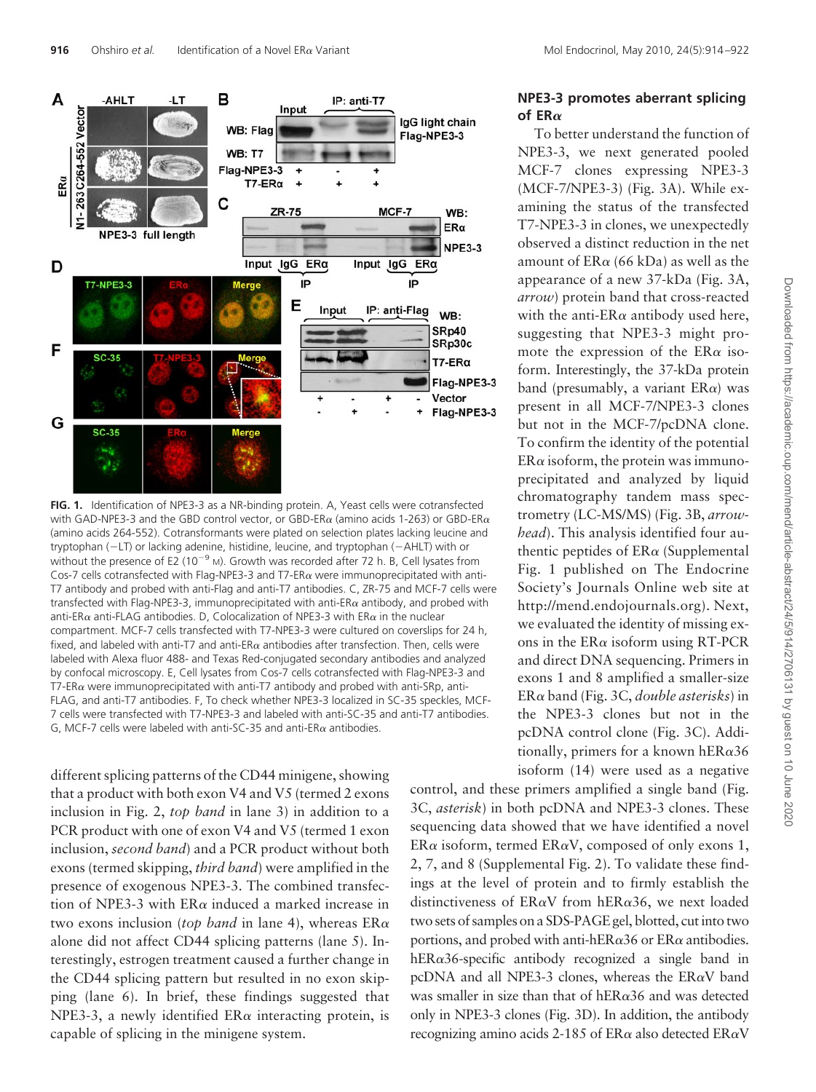

**FIG. 1.** Identification of NPE3-3 as a NR-binding protein. A, Yeast cells were cotransfected with GAD-NPE3-3 and the GBD control vector, or GBD-ER $\alpha$  (amino acids 1-263) or GBD-ER $\alpha$ (amino acids 264-552). Cotransformants were plated on selection plates lacking leucine and tryptophan (-LT) or lacking adenine, histidine, leucine, and tryptophan (-AHLT) with or without the presence of E2 (10<sup>-9</sup> M). Growth was recorded after 72 h. B, Cell lysates from Cos-7 cells cotransfected with Flag-NPE3-3 and T7-ER $\alpha$  were immunoprecipitated with anti-T7 antibody and probed with anti-Flag and anti-T7 antibodies. C, ZR-75 and MCF-7 cells were transfected with Flag-NPE3-3, immunoprecipitated with anti-ER $\alpha$  antibody, and probed with anti-ER $\alpha$  anti-FLAG antibodies. D, Colocalization of NPE3-3 with ER $\alpha$  in the nuclear compartment. MCF-7 cells transfected with T7-NPE3-3 were cultured on coverslips for 24 h, fixed, and labeled with anti-T7 and anti-ER $\alpha$  antibodies after transfection. Then, cells were labeled with Alexa fluor 488- and Texas Red-conjugated secondary antibodies and analyzed by confocal microscopy. E, Cell lysates from Cos-7 cells cotransfected with Flag-NPE3-3 and T7-ER $\alpha$  were immunoprecipitated with anti-T7 antibody and probed with anti-SRp, anti-FLAG, and anti-T7 antibodies. F, To check whether NPE3-3 localized in SC-35 speckles, MCF-7 cells were transfected with T7-NPE3-3 and labeled with anti-SC-35 and anti-T7 antibodies. G, MCF-7 cells were labeled with anti-SC-35 and anti-ER $\alpha$  antibodies.

different splicing patterns of the CD44 minigene, showing that a product with both exon V4 and V5 (termed 2 exons inclusion in Fig. 2, *top band* in lane 3) in addition to a PCR product with one of exon V4 and V5 (termed 1 exon inclusion, *second band*) and a PCR product without both exons (termed skipping, *third band*) were amplified in the presence of exogenous NPE3-3. The combined transfection of NPE3-3 with  $ER\alpha$  induced a marked increase in two exons inclusion (*top band* in lane 4), whereas ER alone did not affect CD44 splicing patterns (lane 5). Interestingly, estrogen treatment caused a further change in the CD44 splicing pattern but resulted in no exon skipping (lane 6). In brief, these findings suggested that NPE3-3, a newly identified  $ER\alpha$  interacting protein, is capable of splicing in the minigene system.

## **NPE3-3 promotes aberrant splicing of ER**

To better understand the function of NPE3-3, we next generated pooled MCF-7 clones expressing NPE3-3 (MCF-7/NPE3-3) (Fig. 3A). While examining the status of the transfected T7-NPE3-3 in clones, we unexpectedly observed a distinct reduction in the net amount of  $ER\alpha$  (66 kDa) as well as the appearance of a new 37-kDa (Fig. 3A, *arrow*) protein band that cross-reacted with the anti- $ER\alpha$  antibody used here, suggesting that NPE3-3 might promote the expression of the  $ER\alpha$  isoform. Interestingly, the 37-kDa protein band (presumably, a variant  $ER\alpha$ ) was present in all MCF-7/NPE3-3 clones but not in the MCF-7/pcDNA clone. To confirm the identity of the potential  $ER\alpha$  isoform, the protein was immunoprecipitated and analyzed by liquid chromatography tandem mass spectrometry (LC-MS/MS) (Fig. 3B, *arrowhead*). This analysis identified four authentic peptides of  $ER\alpha$  (Supplemental Fig. 1 published on The Endocrine Society's Journals Online web site at http://mend.endojournals.org). Next, we evaluated the identity of missing exons in the  $ER\alpha$  isoform using RT-PCR and direct DNA sequencing. Primers in exons 1 and 8 amplified a smaller-size ER band (Fig. 3C, *double asterisks*) in the NPE3-3 clones but not in the pcDNA control clone (Fig. 3C). Additionally, primers for a known hER $\alpha$ 36 isoform (14) were used as a negative

control, and these primers amplified a single band (Fig. 3C, *asterisk*) in both pcDNA and NPE3-3 clones. These sequencing data showed that we have identified a novel ER $\alpha$  isoform, termed ER $\alpha V$ , composed of only exons 1, 2, 7, and 8 (Supplemental Fig. 2). To validate these findings at the level of protein and to firmly establish the distinctiveness of  $ER\alpha V$  from hER $\alpha$ 36, we next loaded two sets of samples on a SDS-PAGE gel, blotted, cut into two portions, and probed with anti-hER $\alpha$ 36 or ER $\alpha$  antibodies.  $hER\alpha36$ -specific antibody recognized a single band in pcDNA and all NPE3-3 clones, whereas the  $ER\alpha V$  band was smaller in size than that of hER $\alpha$ 36 and was detected only in NPE3-3 clones (Fig. 3D). In addition, the antibody recognizing amino acids 2-185 of  $ER\alpha$  also detected  $ER\alpha V$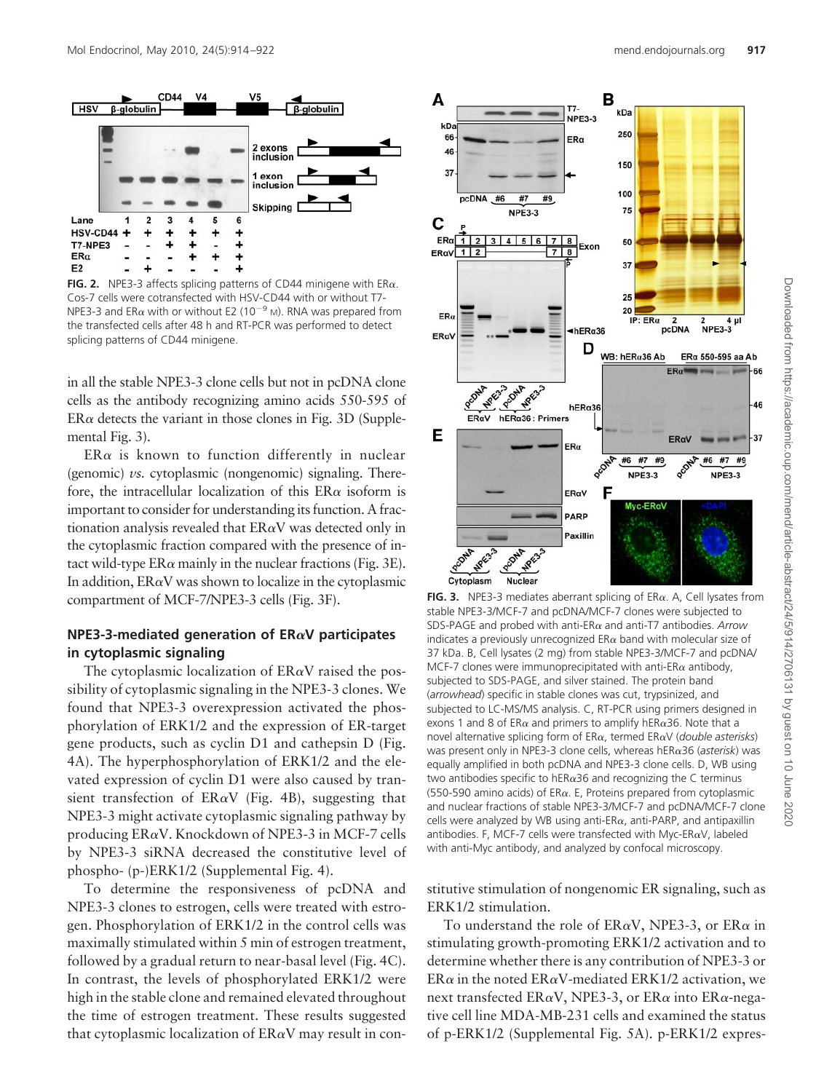

**FIG. 2.** NPE3-3 affects splicing patterns of CD44 minigene with  $ER\alpha$ . Cos-7 cells were cotransfected with HSV-CD44 with or without T7- NPE3-3 and ER $\alpha$  with or without E2 (10<sup>-9</sup> M). RNA was prepared from the transfected cells after 48 h and RT-PCR was performed to detect splicing patterns of CD44 minigene.

in all the stable NPE3-3 clone cells but not in pcDNA clone cells as the antibody recognizing amino acids 550-595 of  $ER\alpha$  detects the variant in those clones in Fig. 3D (Supplemental Fig. 3).

 $ER\alpha$  is known to function differently in nuclear (genomic) *vs.* cytoplasmic (nongenomic) signaling. Therefore, the intracellular localization of this  $ER\alpha$  isoform is important to consider for understanding its function. A fractionation analysis revealed that  $ER\alpha V$  was detected only in the cytoplasmic fraction compared with the presence of intact wild-type  $ER\alpha$  mainly in the nuclear fractions (Fig. 3E). In addition,  $ER\alpha V$  was shown to localize in the cytoplasmic compartment of MCF-7/NPE3-3 cells (Fig. 3F).

# **NPE3-3-mediated generation of ERV participates in cytoplasmic signaling**

The cytoplasmic localization of  $ER\alpha V$  raised the possibility of cytoplasmic signaling in the NPE3-3 clones. We found that NPE3-3 overexpression activated the phosphorylation of ERK1/2 and the expression of ER-target gene products, such as cyclin D1 and cathepsin D (Fig. 4A). The hyperphosphorylation of ERK1/2 and the elevated expression of cyclin D1 were also caused by transient transfection of  $ER\alpha V$  (Fig. 4B), suggesting that NPE3-3 might activate cytoplasmic signaling pathway by producing  $ER\alpha V$ . Knockdown of NPE3-3 in MCF-7 cells by NPE3-3 siRNA decreased the constitutive level of phospho- (p-)ERK1/2 (Supplemental Fig. 4).

To determine the responsiveness of pcDNA and NPE3-3 clones to estrogen, cells were treated with estrogen. Phosphorylation of ERK1/2 in the control cells was maximally stimulated within 5 min of estrogen treatment, followed by a gradual return to near-basal level (Fig. 4C). In contrast, the levels of phosphorylated ERK1/2 were high in the stable clone and remained elevated throughout the time of estrogen treatment. These results suggested that cytoplasmic localization of  $ER\alpha V$  may result in con-



**FIG. 3.** NPE3-3 mediates aberrant splicing of ER $\alpha$ . A, Cell lysates from stable NPE3-3/MCF-7 and pcDNA/MCF-7 clones were subjected to SDS-PAGE and probed with anti-ER and anti-T7 antibodies. *Arrow* indicates a previously unrecognized  $ER\alpha$  band with molecular size of 37 kDa. B, Cell lysates (2 mg) from stable NPE3-3/MCF-7 and pcDNA/ MCF-7 clones were immunoprecipitated with anti-ER $\alpha$  antibody, subjected to SDS-PAGE, and silver stained. The protein band (*arrowhead*) specific in stable clones was cut, trypsinized, and subjected to LC-MS/MS analysis. C, RT-PCR using primers designed in exons 1 and 8 of ER $\alpha$  and primers to amplify hER $\alpha$ 36. Note that a novel alternative splicing form of ERα, termed ERαV (*double asterisks*) was present only in NPE3-3 clone cells, whereas hERα36 (*asterisk*) was equally amplified in both pcDNA and NPE3-3 clone cells. D, WB using two antibodies specific to hER $\alpha$ 36 and recognizing the C terminus (550-590 amino acids) of ER $\alpha$ . E, Proteins prepared from cytoplasmic and nuclear fractions of stable NPE3-3/MCF-7 and pcDNA/MCF-7 clone cells were analyzed by WB using anti-ER $\alpha$ , anti-PARP, and antipaxillin antibodies. F, MCF-7 cells were transfected with Myc-ER $\alpha$ V, labeled with anti-Myc antibody, and analyzed by confocal microscopy.

stitutive stimulation of nongenomic ER signaling, such as ERK1/2 stimulation.

To understand the role of  $ER\alpha V$ , NPE3-3, or  $ER\alpha$  in stimulating growth-promoting ERK1/2 activation and to determine whether there is any contribution of NPE3-3 or ER $\alpha$  in the noted ER $\alpha$ V-mediated ERK1/2 activation, we next transfected ER $\alpha$ V, NPE3-3, or ER $\alpha$  into ER $\alpha$ -negative cell line MDA-MB-231 cells and examined the status of p-ERK1/2 (Supplemental Fig. 5A). p-ERK1/2 expres-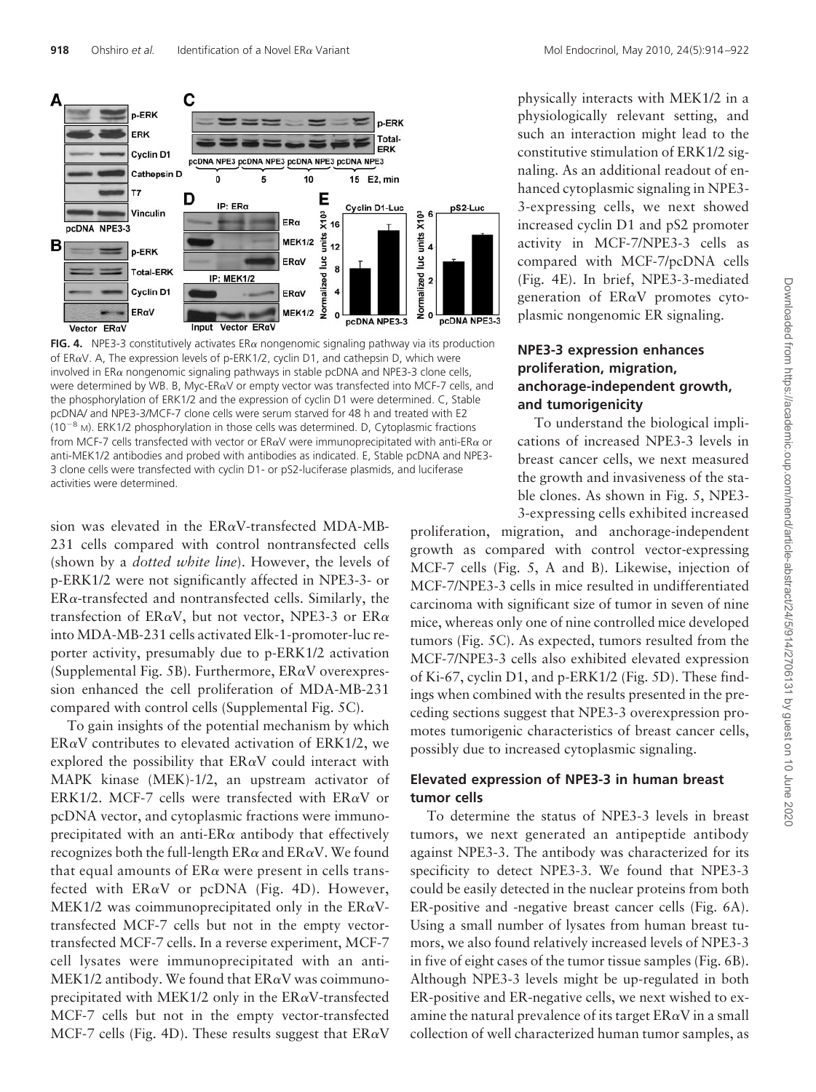

**FIG. 4.** NPE3-3 constitutively activates  $E R \alpha$  nongenomic signaling pathway via its production of ER $\alpha$ V. A, The expression levels of p-ERK1/2, cyclin D1, and cathepsin D, which were involved in  $ER\alpha$  nongenomic signaling pathways in stable pcDNA and NPE3-3 clone cells, were determined by WB. B, Myc-ER $\alpha$ V or empty vector was transfected into MCF-7 cells, and the phosphorylation of ERK1/2 and the expression of cyclin D1 were determined. C, Stable pcDNA/ and NPE3-3/MCF-7 clone cells were serum starved for 48 h and treated with E2  $(10^{-8}$  M). ERK1/2 phosphorylation in those cells was determined. D, Cytoplasmic fractions from MCF-7 cells transfected with vector or ER $\alpha$ V were immunoprecipitated with anti-ER $\alpha$  or anti-MEK1/2 antibodies and probed with antibodies as indicated. E, Stable pcDNA and NPE3- 3 clone cells were transfected with cyclin D1- or pS2-luciferase plasmids, and luciferase activities were determined.

sion was elevated in the  $ER\alpha V$ -transfected MDA-MB-231 cells compared with control nontransfected cells (shown by a *dotted white line*). However, the levels of p-ERK1/2 were not significantly affected in NPE3-3- or  $ER\alpha$ -transfected and nontransfected cells. Similarly, the transfection of ER $\alpha$ V, but not vector, NPE3-3 or ER $\alpha$ into MDA-MB-231 cells activated Elk-1-promoter-luc reporter activity, presumably due to p-ERK1/2 activation (Supplemental Fig. 5B). Furthermore,  $ER\alpha V$  overexpression enhanced the cell proliferation of MDA-MB-231 compared with control cells (Supplemental Fig. 5C).

To gain insights of the potential mechanism by which  $ER\alpha V$  contributes to elevated activation of  $ERK1/2$ , we explored the possibility that  $ER\alpha V$  could interact with MAPK kinase (MEK)-1/2, an upstream activator of ERK1/2. MCF-7 cells were transfected with  $ER\alpha V$  or pcDNA vector, and cytoplasmic fractions were immunoprecipitated with an anti-ER $\alpha$  antibody that effectively recognizes both the full-length  $ER\alpha$  and  $ER\alpha V$ . We found that equal amounts of  $ER\alpha$  were present in cells transfected with  $ER\alpha V$  or pcDNA (Fig. 4D). However, MEK1/2 was coimmunoprecipitated only in the  $ER\alpha V$ transfected MCF-7 cells but not in the empty vectortransfected MCF-7 cells. In a reverse experiment, MCF-7 cell lysates were immunoprecipitated with an anti-MEK1/2 antibody. We found that  $ER\alpha V$  was coimmunoprecipitated with MEK1/2 only in the  $ER\alpha V$ -transfected MCF-7 cells but not in the empty vector-transfected MCF-7 cells (Fig. 4D). These results suggest that  $ER\alpha V$ 

physically interacts with MEK1/2 in a physiologically relevant setting, and such an interaction might lead to the constitutive stimulation of ERK1/2 signaling. As an additional readout of enhanced cytoplasmic signaling in NPE3- 3-expressing cells, we next showed increased cyclin D1 and pS2 promoter activity in MCF-7/NPE3-3 cells as compared with MCF-7/pcDNA cells (Fig. 4E). In brief, NPE3-3-mediated generation of  $ER\alpha V$  promotes cyto-

# **NPE3-3 expression enhances proliferation, migration, anchorage-independent growth, and tumorigenicity**

plasmic nongenomic ER signaling.

To understand the biological implications of increased NPE3-3 levels in breast cancer cells, we next measured the growth and invasiveness of the stable clones. As shown in Fig. 5, NPE3- 3-expressing cells exhibited increased

proliferation, migration, and anchorage-independent growth as compared with control vector-expressing MCF-7 cells (Fig. 5, A and B). Likewise, injection of MCF-7/NPE3-3 cells in mice resulted in undifferentiated carcinoma with significant size of tumor in seven of nine mice, whereas only one of nine controlled mice developed tumors (Fig. 5C). As expected, tumors resulted from the MCF-7/NPE3-3 cells also exhibited elevated expression of Ki-67, cyclin D1, and p-ERK1/2 (Fig. 5D). These findings when combined with the results presented in the preceding sections suggest that NPE3-3 overexpression promotes tumorigenic characteristics of breast cancer cells, possibly due to increased cytoplasmic signaling.

# **Elevated expression of NPE3-3 in human breast tumor cells**

To determine the status of NPE3-3 levels in breast tumors, we next generated an antipeptide antibody against NPE3-3. The antibody was characterized for its specificity to detect NPE3-3. We found that NPE3-3 could be easily detected in the nuclear proteins from both ER-positive and -negative breast cancer cells (Fig. 6A). Using a small number of lysates from human breast tumors, we also found relatively increased levels of NPE3-3 in five of eight cases of the tumor tissue samples (Fig. 6B). Although NPE3-3 levels might be up-regulated in both ER-positive and ER-negative cells, we next wished to examine the natural prevalence of its target  $ER\alpha V$  in a small collection of well characterized human tumor samples, as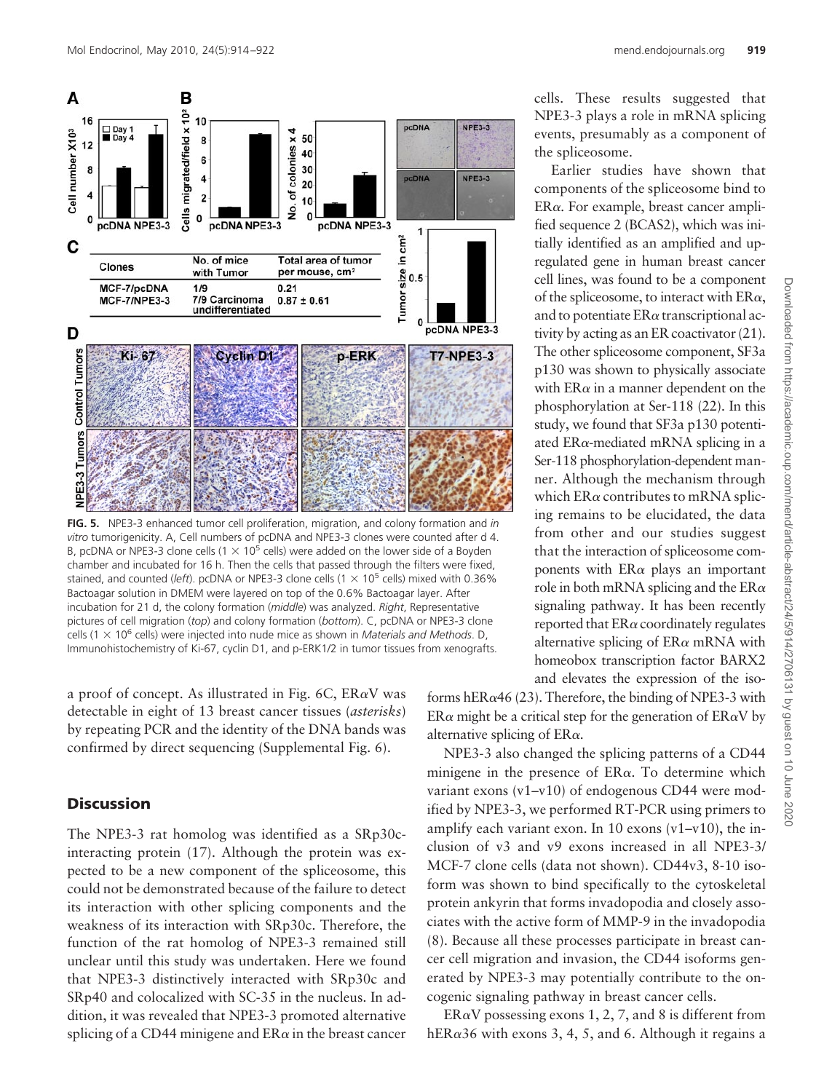

**FIG. 5.** NPE3-3 enhanced tumor cell proliferation, migration, and colony formation and *in vitro* tumorigenicity. A, Cell numbers of pcDNA and NPE3-3 clones were counted after d 4. B, pcDNA or NPE3-3 clone cells (1  $\times$  10<sup>5</sup> cells) were added on the lower side of a Boyden chamber and incubated for 16 h. Then the cells that passed through the filters were fixed, stained, and counted (*left*). pcDNA or NPE3-3 clone cells  $(1 \times 10^5$  cells) mixed with 0.36% Bactoagar solution in DMEM were layered on top of the 0.6% Bactoagar layer. After incubation for 21 d, the colony formation (*middle*) was analyzed. *Right*, Representative pictures of cell migration (*top*) and colony formation (*bottom*). C, pcDNA or NPE3-3 clone cells (1 × 10<sup>6</sup> cells) were injected into nude mice as shown in *Materials and Methods*. D, Immunohistochemistry of Ki-67, cyclin D1, and p-ERK1/2 in tumor tissues from xenografts.

a proof of concept. As illustrated in Fig. 6C,  $ER\alpha V$  was detectable in eight of 13 breast cancer tissues (*asterisks*) by repeating PCR and the identity of the DNA bands was confirmed by direct sequencing (Supplemental Fig. 6).

# **Discussion**

The NPE3-3 rat homolog was identified as a SRp30cinteracting protein (17). Although the protein was expected to be a new component of the spliceosome, this could not be demonstrated because of the failure to detect its interaction with other splicing components and the weakness of its interaction with SRp30c. Therefore, the function of the rat homolog of NPE3-3 remained still unclear until this study was undertaken. Here we found that NPE3-3 distinctively interacted with SRp30c and SRp40 and colocalized with SC-35 in the nucleus. In addition, it was revealed that NPE3-3 promoted alternative splicing of a CD44 minigene and  $ER\alpha$  in the breast cancer cells. These results suggested that NPE3-3 plays a role in mRNA splicing events, presumably as a component of the spliceosome.

Earlier studies have shown that components of the spliceosome bind to  $ER\alpha$ . For example, breast cancer amplified sequence 2 (BCAS2), which was initially identified as an amplified and upregulated gene in human breast cancer cell lines, was found to be a component of the spliceosome, to interact with  $ER\alpha$ , and to potentiate  $ER\alpha$  transcriptional activity by acting as an ER coactivator (21). The other spliceosome component, SF3a p130 was shown to physically associate with  $ER\alpha$  in a manner dependent on the phosphorylation at Ser-118 (22). In this study, we found that SF3a p130 potentiated ER $\alpha$ -mediated mRNA splicing in a Ser-118 phosphorylation-dependent manner. Although the mechanism through which  $ER\alpha$  contributes to mRNA splicing remains to be elucidated, the data from other and our studies suggest that the interaction of spliceosome components with  $ER\alpha$  plays an important role in both mRNA splicing and the  $ER\alpha$ signaling pathway. It has been recently reported that  $ER\alpha$  coordinately regulates alternative splicing of  $ER\alpha$  mRNA with homeobox transcription factor BARX2 and elevates the expression of the iso-

forms hER $\alpha$ 46 (23). Therefore, the binding of NPE3-3 with  $ER\alpha$  might be a critical step for the generation of  $ER\alpha V$  by alternative splicing of  $ER\alpha$ .

NPE3-3 also changed the splicing patterns of a CD44 minigene in the presence of  $ER\alpha$ . To determine which variant exons (v1–v10) of endogenous CD44 were modified by NPE3-3, we performed RT-PCR using primers to amplify each variant exon. In 10 exons  $(v1-v10)$ , the inclusion of v3 and v9 exons increased in all NPE3-3/ MCF-7 clone cells (data not shown). CD44v3, 8-10 isoform was shown to bind specifically to the cytoskeletal protein ankyrin that forms invadopodia and closely associates with the active form of MMP-9 in the invadopodia (8). Because all these processes participate in breast cancer cell migration and invasion, the CD44 isoforms generated by NPE3-3 may potentially contribute to the oncogenic signaling pathway in breast cancer cells.

 $ER\alpha V$  possessing exons 1, 2, 7, and 8 is different from hER $\alpha$ 36 with exons 3, 4, 5, and 6. Although it regains a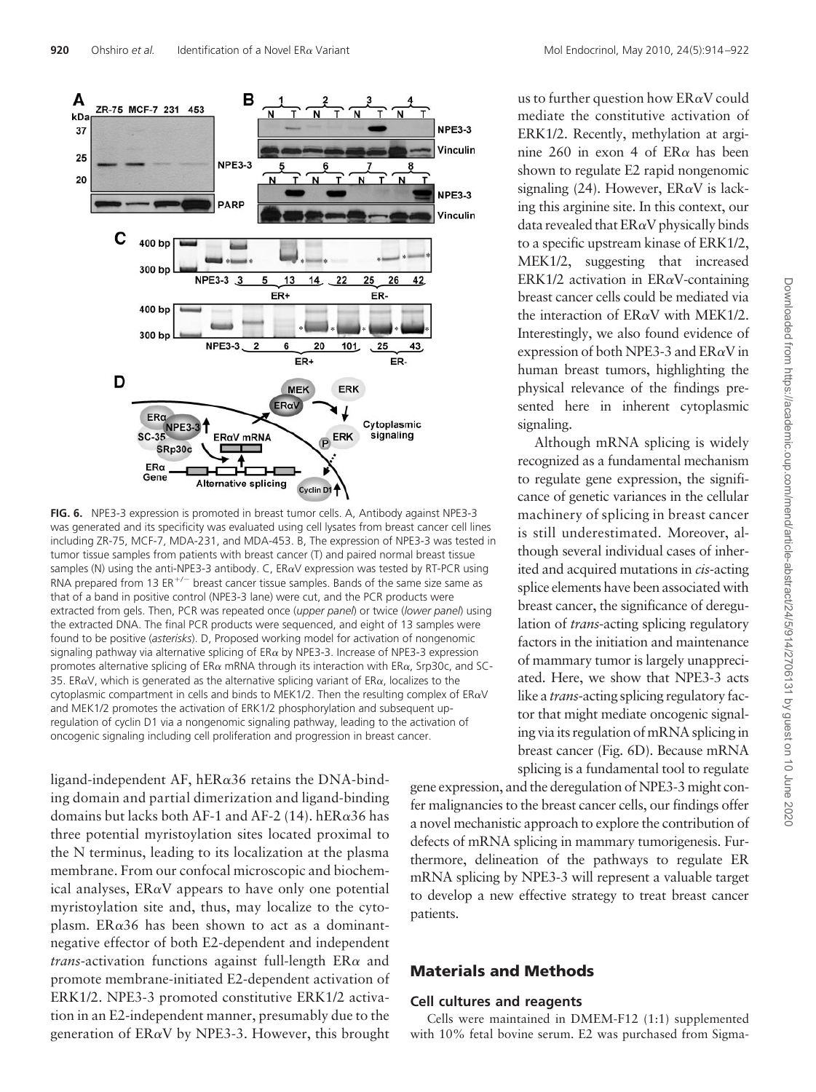

**FIG. 6.** NPE3-3 expression is promoted in breast tumor cells. A, Antibody against NPE3-3 was generated and its specificity was evaluated using cell lysates from breast cancer cell lines including ZR-75, MCF-7, MDA-231, and MDA-453. B, The expression of NPE3-3 was tested in tumor tissue samples from patients with breast cancer (T) and paired normal breast tissue samples (N) using the anti-NPE3-3 antibody. C,  $ER\alpha V$  expression was tested by RT-PCR using RNA prepared from 13 ER<sup>+/-</sup> breast cancer tissue samples. Bands of the same size same as that of a band in positive control (NPE3-3 lane) were cut, and the PCR products were extracted from gels. Then, PCR was repeated once (*upper panel*) or twice (*lower panel*) using the extracted DNA. The final PCR products were sequenced, and eight of 13 samples were found to be positive (*asterisks*). D, Proposed working model for activation of nongenomic signaling pathway via alternative splicing of  $ER\alpha$  by NPE3-3. Increase of NPE3-3 expression promotes alternative splicing of ER $\alpha$  mRNA through its interaction with ER $\alpha$ , Srp30c, and SC-35. ER $\alpha$ V, which is generated as the alternative splicing variant of ER $\alpha$ , localizes to the cytoplasmic compartment in cells and binds to MEK1/2. Then the resulting complex of  $ER\alpha V$ and MEK1/2 promotes the activation of ERK1/2 phosphorylation and subsequent upregulation of cyclin D1 via a nongenomic signaling pathway, leading to the activation of oncogenic signaling including cell proliferation and progression in breast cancer.

ligand-independent AF, hER $\alpha$ 36 retains the DNA-binding domain and partial dimerization and ligand-binding domains but lacks both AF-1 and AF-2 (14). hER $\alpha$ 36 has three potential myristoylation sites located proximal to the N terminus, leading to its localization at the plasma membrane. From our confocal microscopic and biochemical analyses,  $ER\alpha V$  appears to have only one potential myristoylation site and, thus, may localize to the cytoplasm. ER $\alpha$ 36 has been shown to act as a dominantnegative effector of both E2-dependent and independent *trans*-activation functions against full-length  $ER\alpha$  and promote membrane-initiated E2-dependent activation of ERK1/2. NPE3-3 promoted constitutive ERK1/2 activation in an E2-independent manner, presumably due to the generation of  $ER\alpha V$  by NPE3-3. However, this brought us to further question how  $ER\alpha V$  could mediate the constitutive activation of ERK1/2. Recently, methylation at arginine 260 in exon 4 of  $ER\alpha$  has been shown to regulate E2 rapid nongenomic signaling (24). However,  $ER\alpha V$  is lacking this arginine site. In this context, our data revealed that  $ER\alpha V$  physically binds to a specific upstream kinase of ERK1/2, MEK1/2, suggesting that increased ERK1/2 activation in  $ER\alpha V$ -containing breast cancer cells could be mediated via the interaction of  $ER\alpha V$  with MEK1/2. Interestingly, we also found evidence of expression of both NPE3-3 and  $ER\alpha V$  in human breast tumors, highlighting the physical relevance of the findings presented here in inherent cytoplasmic signaling.

Although mRNA splicing is widely recognized as a fundamental mechanism to regulate gene expression, the significance of genetic variances in the cellular machinery of splicing in breast cancer is still underestimated. Moreover, although several individual cases of inherited and acquired mutations in *cis-*acting splice elements have been associated with breast cancer, the significance of deregulation of *trans*-acting splicing regulatory factors in the initiation and maintenance of mammary tumor is largely unappreciated. Here, we show that NPE3-3 acts like a *trans*-acting splicing regulatory factor that might mediate oncogenic signaling via its regulation of mRNA splicing in breast cancer (Fig. 6D). Because mRNA splicing is a fundamental tool to regulate

gene expression, and the deregulation of NPE3-3 might confer malignancies to the breast cancer cells, our findings offer a novel mechanistic approach to explore the contribution of defects of mRNA splicing in mammary tumorigenesis. Furthermore, delineation of the pathways to regulate ER mRNA splicing by NPE3-3 will represent a valuable target to develop a new effective strategy to treat breast cancer patients.

# **Materials and Methods**

# **Cell cultures and reagents**

Cells were maintained in DMEM-F12 (1:1) supplemented with 10% fetal bovine serum. E2 was purchased from Sigma-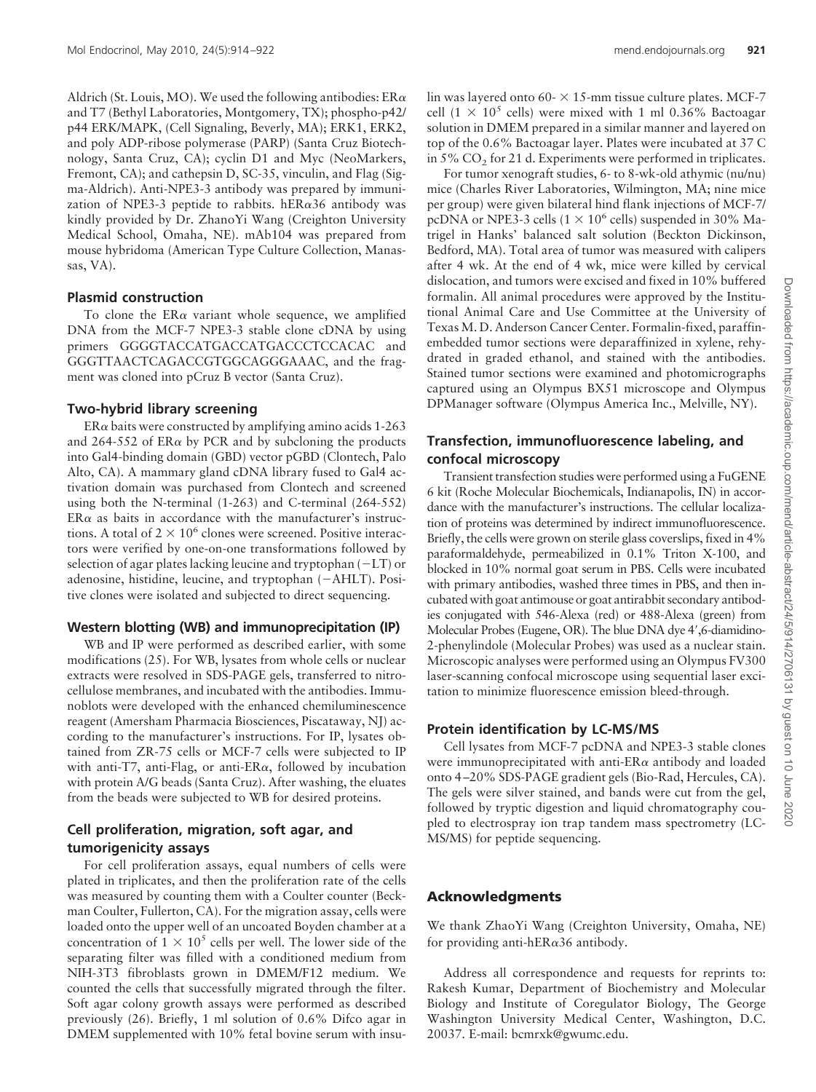Aldrich (St. Louis, MO). We used the following antibodies:  $ER\alpha$ and T7 (Bethyl Laboratories, Montgomery, TX); phospho-p42/ p44 ERK/MAPK, (Cell Signaling, Beverly, MA); ERK1, ERK2, and poly ADP-ribose polymerase (PARP) (Santa Cruz Biotechnology, Santa Cruz, CA); cyclin D1 and Myc (NeoMarkers, Fremont, CA); and cathepsin D, SC-35, vinculin, and Flag (Sigma-Aldrich). Anti-NPE3-3 antibody was prepared by immunization of NPE3-3 peptide to rabbits. hER $\alpha$ 36 antibody was kindly provided by Dr. ZhanoYi Wang (Creighton University Medical School, Omaha, NE). mAb104 was prepared from mouse hybridoma (American Type Culture Collection, Manassas, VA).

#### **Plasmid construction**

To clone the  $ER\alpha$  variant whole sequence, we amplified DNA from the MCF-7 NPE3-3 stable clone cDNA by using primers GGGGTACCATGACCATGACCCTCCACAC and GGGTTAACTCAGACCGTGGCAGGGAAAC, and the fragment was cloned into pCruz B vector (Santa Cruz).

#### **Two-hybrid library screening**

 $ER\alpha$  baits were constructed by amplifying amino acids 1-263 and 264-552 of  $ER\alpha$  by PCR and by subcloning the products into Gal4-binding domain (GBD) vector pGBD (Clontech, Palo Alto, CA). A mammary gland cDNA library fused to Gal4 activation domain was purchased from Clontech and screened using both the N-terminal (1-263) and C-terminal (264-552)  $ER\alpha$  as baits in accordance with the manufacturer's instructions. A total of  $2 \times 10^6$  clones were screened. Positive interactors were verified by one-on-one transformations followed by selection of agar plates lacking leucine and tryptophan  $(-LT)$  or adenosine, histidine, leucine, and tryptophan (-AHLT). Positive clones were isolated and subjected to direct sequencing.

#### **Western blotting (WB) and immunoprecipitation (IP)**

WB and IP were performed as described earlier, with some modifications (25). For WB, lysates from whole cells or nuclear extracts were resolved in SDS-PAGE gels, transferred to nitrocellulose membranes, and incubated with the antibodies. Immunoblots were developed with the enhanced chemiluminescence reagent (Amersham Pharmacia Biosciences, Piscataway, NJ) according to the manufacturer's instructions. For IP, lysates obtained from ZR-75 cells or MCF-7 cells were subjected to IP with anti-T7, anti-Flag, or anti-ER $\alpha$ , followed by incubation with protein A/G beads (Santa Cruz). After washing, the eluates from the beads were subjected to WB for desired proteins.

### **Cell proliferation, migration, soft agar, and tumorigenicity assays**

For cell proliferation assays, equal numbers of cells were plated in triplicates, and then the proliferation rate of the cells was measured by counting them with a Coulter counter (Beckman Coulter, Fullerton, CA). For the migration assay, cells were loaded onto the upper well of an uncoated Boyden chamber at a concentration of  $1 \times 10^5$  cells per well. The lower side of the separating filter was filled with a conditioned medium from NIH-3T3 fibroblasts grown in DMEM/F12 medium. We counted the cells that successfully migrated through the filter. Soft agar colony growth assays were performed as described previously (26). Briefly, 1 ml solution of 0.6% Difco agar in DMEM supplemented with 10% fetal bovine serum with insu-

lin was layered onto 60-  $\times$  15-mm tissue culture plates. MCF-7 cell (1  $\times$  10<sup>5</sup> cells) were mixed with 1 ml 0.36% Bactoagar solution in DMEM prepared in a similar manner and layered on top of the 0.6% Bactoagar layer. Plates were incubated at 37 C in  $5\%$  CO<sub>2</sub> for 21 d. Experiments were performed in triplicates.

For tumor xenograft studies, 6- to 8-wk-old athymic (nu/nu) mice (Charles River Laboratories, Wilmington, MA; nine mice per group) were given bilateral hind flank injections of MCF-7/ pcDNA or NPE3-3 cells  $(1 \times 10^6 \text{ cells})$  suspended in 30% Matrigel in Hanks' balanced salt solution (Beckton Dickinson, Bedford, MA). Total area of tumor was measured with calipers after 4 wk. At the end of 4 wk, mice were killed by cervical dislocation, and tumors were excised and fixed in 10% buffered formalin. All animal procedures were approved by the Institutional Animal Care and Use Committee at the University of Texas M. D. Anderson Cancer Center. Formalin-fixed, paraffinembedded tumor sections were deparaffinized in xylene, rehydrated in graded ethanol, and stained with the antibodies. Stained tumor sections were examined and photomicrographs captured using an Olympus BX51 microscope and Olympus DPManager software (Olympus America Inc., Melville, NY).

### **Transfection, immunofluorescence labeling, and confocal microscopy**

Transient transfection studies were performed using a FuGENE 6 kit (Roche Molecular Biochemicals, Indianapolis, IN) in accordance with the manufacturer's instructions. The cellular localization of proteins was determined by indirect immunofluorescence. Briefly, the cells were grown on sterile glass coverslips, fixed in 4% paraformaldehyde, permeabilized in 0.1% Triton X-100, and blocked in 10% normal goat serum in PBS. Cells were incubated with primary antibodies, washed three times in PBS, and then incubated with goat antimouse or goat antirabbit secondary antibodies conjugated with 546-Alexa (red) or 488-Alexa (green) from Molecular Probes (Eugene, OR). The blue DNA dye 4',6-diamidino-2-phenylindole (Molecular Probes) was used as a nuclear stain. Microscopic analyses were performed using an Olympus FV300 laser-scanning confocal microscope using sequential laser excitation to minimize fluorescence emission bleed-through.

#### **Protein identification by LC-MS/MS**

Cell lysates from MCF-7 pcDNA and NPE3-3 stable clones were immunoprecipitated with anti-ER $\alpha$  antibody and loaded onto 4 –20% SDS-PAGE gradient gels (Bio-Rad, Hercules, CA). The gels were silver stained, and bands were cut from the gel, followed by tryptic digestion and liquid chromatography coupled to electrospray ion trap tandem mass spectrometry (LC-MS/MS) for peptide sequencing.

#### **Acknowledgments**

We thank ZhaoYi Wang (Creighton University, Omaha, NE) for providing anti-hER $\alpha$ 36 antibody.

Address all correspondence and requests for reprints to: Rakesh Kumar, Department of Biochemistry and Molecular Biology and Institute of Coregulator Biology, The George Washington University Medical Center, Washington, D.C. 20037. E-mail: bcmrxk@gwumc.edu.